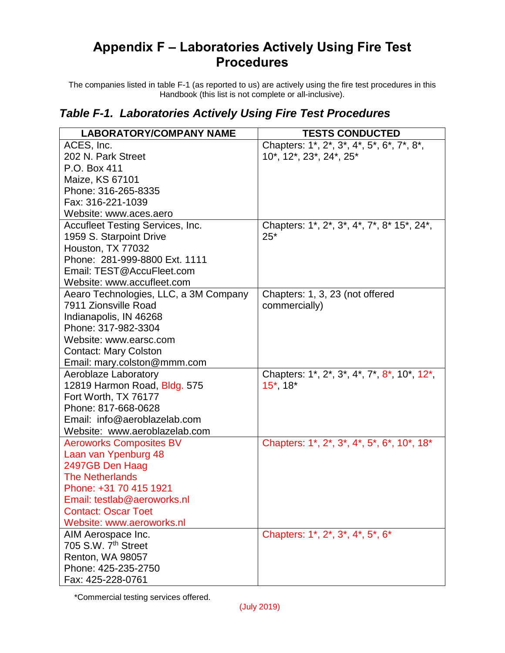## **Appendix F – Laboratories Actively Using Fire Test Procedures**

The companies listed in table F-1 (as reported to us) are actively using the fire test procedures in this Handbook (this list is not complete or all-inclusive).

## *Table F-1. Laboratories Actively Using Fire Test Procedures*

| <b>LABORATORY/COMPANY NAME</b>          | <b>TESTS CONDUCTED</b>                      |
|-----------------------------------------|---------------------------------------------|
| ACES, Inc.                              | Chapters: 1*, 2*, 3*, 4*, 5*, 6*, 7*, 8*,   |
| 202 N. Park Street                      | 10*, 12*, 23*, 24*, 25*                     |
| P.O. Box 411                            |                                             |
| Maize, KS 67101                         |                                             |
| Phone: 316-265-8335                     |                                             |
| Fax: 316-221-1039                       |                                             |
| Website: www.aces.aero                  |                                             |
| <b>Accufleet Testing Services, Inc.</b> | Chapters: 1*, 2*, 3*, 4*, 7*, 8* 15*, 24*,  |
| 1959 S. Starpoint Drive                 | $25*$                                       |
| Houston, TX 77032                       |                                             |
| Phone: 281-999-8800 Ext. 1111           |                                             |
| Email: TEST@AccuFleet.com               |                                             |
| Website: www.accufleet.com              |                                             |
| Aearo Technologies, LLC, a 3M Company   | Chapters: 1, 3, 23 (not offered             |
| 7911 Zionsville Road                    | commercially)                               |
| Indianapolis, IN 46268                  |                                             |
| Phone: 317-982-3304                     |                                             |
| Website: www.earsc.com                  |                                             |
| <b>Contact: Mary Colston</b>            |                                             |
| Email: mary.colston@mmm.com             |                                             |
| Aeroblaze Laboratory                    | Chapters: 1*, 2*, 3*, 4*, 7*, 8*, 10*, 12*, |
| 12819 Harmon Road, Bldg. 575            | $15^*$ , $18^*$                             |
| Fort Worth, TX 76177                    |                                             |
| Phone: 817-668-0628                     |                                             |
| Email: info@aeroblazelab.com            |                                             |
| Website: www.aeroblazelab.com           |                                             |
| <b>Aeroworks Composites BV</b>          | Chapters: 1*, 2*, 3*, 4*, 5*, 6*, 10*, 18*  |
| Laan van Ypenburg 48                    |                                             |
| 2497GB Den Haag                         |                                             |
| <b>The Netherlands</b>                  |                                             |
| Phone: +31 70 415 1921                  |                                             |
| Email: testlab@aeroworks.nl             |                                             |
| <b>Contact: Oscar Toet</b>              |                                             |
| Website: www.aeroworks.nl               |                                             |
| AIM Aerospace Inc.                      | Chapters: 1*, 2*, 3*, 4*, 5*, 6*            |
| 705 S.W. 7 <sup>th</sup> Street         |                                             |
| Renton, WA 98057                        |                                             |
| Phone: 425-235-2750                     |                                             |
| Fax: 425-228-0761                       |                                             |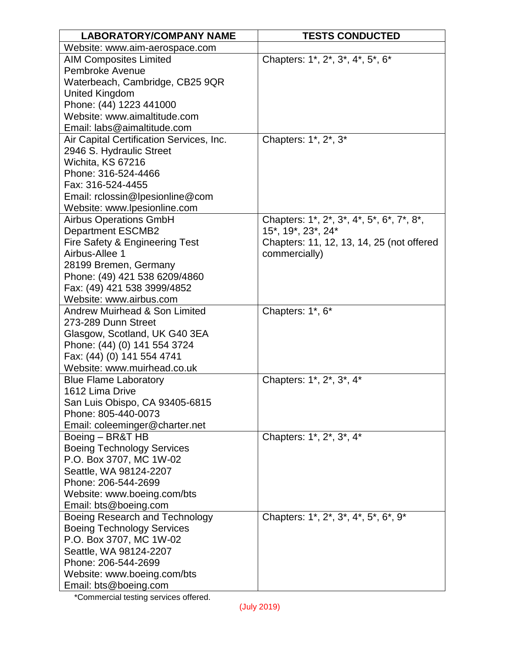| <b>LABORATORY/COMPANY NAME</b>                                      | <b>TESTS CONDUCTED</b>                    |
|---------------------------------------------------------------------|-------------------------------------------|
| Website: www.aim-aerospace.com                                      |                                           |
| <b>AIM Composites Limited</b>                                       | Chapters: 1*, 2*, 3*, 4*, 5*, 6*          |
| Pembroke Avenue                                                     |                                           |
| Waterbeach, Cambridge, CB25 9QR                                     |                                           |
| <b>United Kingdom</b>                                               |                                           |
| Phone: (44) 1223 441000                                             |                                           |
| Website: www.aimaltitude.com                                        |                                           |
| Email: labs@aimaltitude.com                                         |                                           |
| Air Capital Certification Services, Inc.                            | Chapters: 1*, 2*, 3*                      |
| 2946 S. Hydraulic Street                                            |                                           |
| Wichita, KS 67216                                                   |                                           |
| Phone: 316-524-4466                                                 |                                           |
| Fax: 316-524-4455                                                   |                                           |
| Email: rclossin@lpesionline@com                                     |                                           |
| Website: www.lpesionline.com                                        |                                           |
| <b>Airbus Operations GmbH</b>                                       | Chapters: 1*, 2*, 3*, 4*, 5*, 6*, 7*, 8*, |
| <b>Department ESCMB2</b>                                            | 15*, 19*, 23*, 24*                        |
| Fire Safety & Engineering Test                                      | Chapters: 11, 12, 13, 14, 25 (not offered |
| Airbus-Allee 1                                                      | commercially)                             |
| 28199 Bremen, Germany                                               |                                           |
| Phone: (49) 421 538 6209/4860                                       |                                           |
| Fax: (49) 421 538 3999/4852                                         |                                           |
| Website: www.airbus.com<br><b>Andrew Muirhead &amp; Son Limited</b> |                                           |
| 273-289 Dunn Street                                                 | Chapters: 1*, 6*                          |
| Glasgow, Scotland, UK G40 3EA                                       |                                           |
| Phone: (44) (0) 141 554 3724                                        |                                           |
| Fax: (44) (0) 141 554 4741                                          |                                           |
| Website: www.muirhead.co.uk                                         |                                           |
| <b>Blue Flame Laboratory</b>                                        | Chapters: 1*, 2*, 3*, 4*                  |
| 1612 Lima Drive                                                     |                                           |
| San Luis Obispo, CA 93405-6815                                      |                                           |
| Phone: 805-440-0073                                                 |                                           |
| Email: coleeminger@charter.net                                      |                                           |
| Boeing - BR&T HB                                                    | Chapters: 1*, 2*, 3*, 4*                  |
| <b>Boeing Technology Services</b>                                   |                                           |
| P.O. Box 3707, MC 1W-02                                             |                                           |
| Seattle, WA 98124-2207                                              |                                           |
| Phone: 206-544-2699                                                 |                                           |
| Website: www.boeing.com/bts                                         |                                           |
| Email: bts@boeing.com                                               |                                           |
| Boeing Research and Technology                                      | Chapters: 1*, 2*, 3*, 4*, 5*, 6*, 9*      |
| <b>Boeing Technology Services</b>                                   |                                           |
| P.O. Box 3707, MC 1W-02                                             |                                           |
| Seattle, WA 98124-2207                                              |                                           |
| Phone: 206-544-2699                                                 |                                           |
| Website: www.boeing.com/bts                                         |                                           |
| Email: bts@boeing.com                                               |                                           |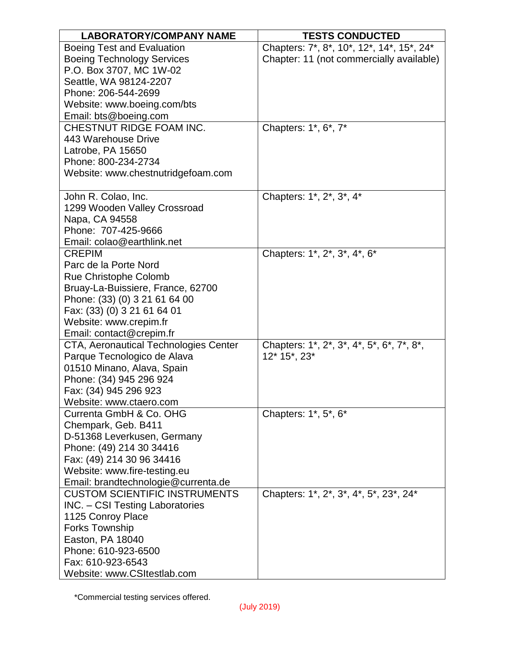| <b>LABORATORY/COMPANY NAME</b>         | <b>TESTS CONDUCTED</b>                    |
|----------------------------------------|-------------------------------------------|
| <b>Boeing Test and Evaluation</b>      | Chapters: 7*, 8*, 10*, 12*, 14*, 15*, 24* |
| <b>Boeing Technology Services</b>      | Chapter: 11 (not commercially available)  |
| P.O. Box 3707, MC 1W-02                |                                           |
| Seattle, WA 98124-2207                 |                                           |
| Phone: 206-544-2699                    |                                           |
| Website: www.boeing.com/bts            |                                           |
| Email: bts@boeing.com                  |                                           |
| CHESTNUT RIDGE FOAM INC.               | Chapters: 1*, 6*, 7*                      |
| 443 Warehouse Drive                    |                                           |
| Latrobe, PA 15650                      |                                           |
| Phone: 800-234-2734                    |                                           |
| Website: www.chestnutridgefoam.com     |                                           |
|                                        |                                           |
| John R. Colao, Inc.                    | Chapters: 1*, 2*, 3*, 4*                  |
| 1299 Wooden Valley Crossroad           |                                           |
| Napa, CA 94558                         |                                           |
| Phone: 707-425-9666                    |                                           |
| Email: colao@earthlink.net             |                                           |
| <b>CREPIM</b>                          | Chapters: 1*, 2*, 3*, 4*, 6*              |
| Parc de la Porte Nord                  |                                           |
| <b>Rue Christophe Colomb</b>           |                                           |
| Bruay-La-Buissiere, France, 62700      |                                           |
| Phone: (33) (0) 3 21 61 64 00          |                                           |
| Fax: (33) (0) 3 21 61 64 01            |                                           |
| Website: www.crepim.fr                 |                                           |
| Email: contact@crepim.fr               |                                           |
| CTA, Aeronautical Technologies Center  | Chapters: 1*, 2*, 3*, 4*, 5*, 6*, 7*, 8*, |
| Parque Tecnologico de Alava            | 12* 15*, 23*                              |
| 01510 Minano, Alava, Spain             |                                           |
| Phone: (34) 945 296 924                |                                           |
| Fax: (34) 945 296 923                  |                                           |
| Website: www.ctaero.com                |                                           |
| Currenta GmbH & Co. OHG                | Chapters: 1*, 5*, 6*                      |
| Chempark, Geb. B411                    |                                           |
| D-51368 Leverkusen, Germany            |                                           |
| Phone: (49) 214 30 34416               |                                           |
| Fax: (49) 214 30 96 34416              |                                           |
| Website: www.fire-testing.eu           |                                           |
| Email: brandtechnologie@currenta.de    |                                           |
| <b>CUSTOM SCIENTIFIC INSTRUMENTS</b>   | Chapters: 1*, 2*, 3*, 4*, 5*, 23*, 24*    |
| <b>INC.</b> – CSI Testing Laboratories |                                           |
| 1125 Conroy Place                      |                                           |
| Forks Township                         |                                           |
| Easton, PA 18040                       |                                           |
| Phone: 610-923-6500                    |                                           |
| Fax: 610-923-6543                      |                                           |
| Website: www.CSItestlab.com            |                                           |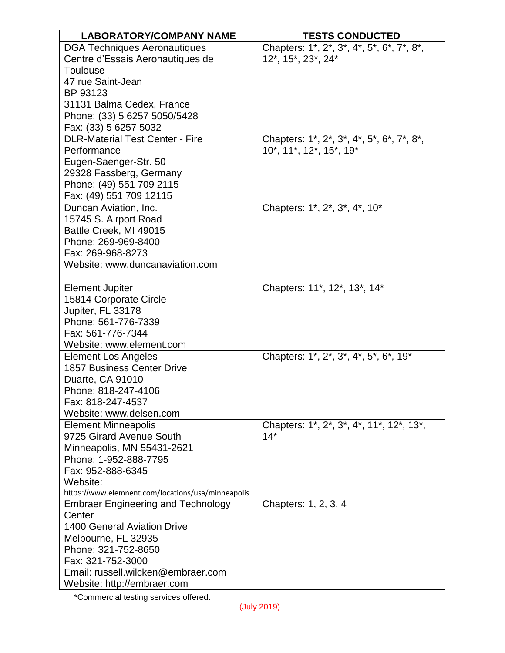| <b>LABORATORY/COMPANY NAME</b>                     | <b>TESTS CONDUCTED</b>                    |
|----------------------------------------------------|-------------------------------------------|
| <b>DGA Techniques Aeronautiques</b>                | Chapters: 1*, 2*, 3*, 4*, 5*, 6*, 7*, 8*, |
| Centre d'Essais Aeronautiques de                   | 12*, 15*, 23*, 24*                        |
| Toulouse                                           |                                           |
| 47 rue Saint-Jean                                  |                                           |
| BP 93123                                           |                                           |
| 31131 Balma Cedex, France                          |                                           |
| Phone: (33) 5 6257 5050/5428                       |                                           |
| Fax: (33) 5 6257 5032                              |                                           |
| <b>DLR-Material Test Center - Fire</b>             | Chapters: 1*, 2*, 3*, 4*, 5*, 6*, 7*, 8*, |
| Performance                                        | 10*, 11*, 12*, 15*, 19*                   |
| Eugen-Saenger-Str. 50                              |                                           |
| 29328 Fassberg, Germany                            |                                           |
| Phone: (49) 551 709 2115                           |                                           |
| Fax: (49) 551 709 12115                            |                                           |
| Duncan Aviation, Inc.                              | Chapters: 1*, 2*, 3*, 4*, 10*             |
| 15745 S. Airport Road                              |                                           |
| Battle Creek, MI 49015                             |                                           |
| Phone: 269-969-8400                                |                                           |
| Fax: 269-968-8273                                  |                                           |
| Website: www.duncanaviation.com                    |                                           |
|                                                    |                                           |
| <b>Element Jupiter</b>                             | Chapters: 11*, 12*, 13*, 14*              |
| 15814 Corporate Circle                             |                                           |
| Jupiter, FL 33178                                  |                                           |
| Phone: 561-776-7339                                |                                           |
| Fax: 561-776-7344                                  |                                           |
| Website: www.element.com                           |                                           |
| <b>Element Los Angeles</b>                         | Chapters: 1*, 2*, 3*, 4*, 5*, 6*, 19*     |
| <b>1857 Business Center Drive</b>                  |                                           |
| Duarte, CA 91010                                   |                                           |
| Phone: 818-247-4106                                |                                           |
| Fax: 818-247-4537                                  |                                           |
| Website: www.delsen.com                            |                                           |
| <b>Element Minneapolis</b>                         | Chapters: 1*, 2*, 3*, 4*, 11*, 12*, 13*,  |
| 9725 Girard Avenue South                           | $14*$                                     |
| Minneapolis, MN 55431-2621                         |                                           |
| Phone: 1-952-888-7795                              |                                           |
| Fax: 952-888-6345                                  |                                           |
| Website:                                           |                                           |
| https://www.elemnent.com/locations/usa/minneapolis |                                           |
| <b>Embraer Engineering and Technology</b>          | Chapters: 1, 2, 3, 4                      |
| Center                                             |                                           |
| <b>1400 General Aviation Drive</b>                 |                                           |
| Melbourne, FL 32935                                |                                           |
| Phone: 321-752-8650                                |                                           |
| Fax: 321-752-3000                                  |                                           |
| Email: russell.wilcken@embraer.com                 |                                           |
| Website: http://embraer.com                        |                                           |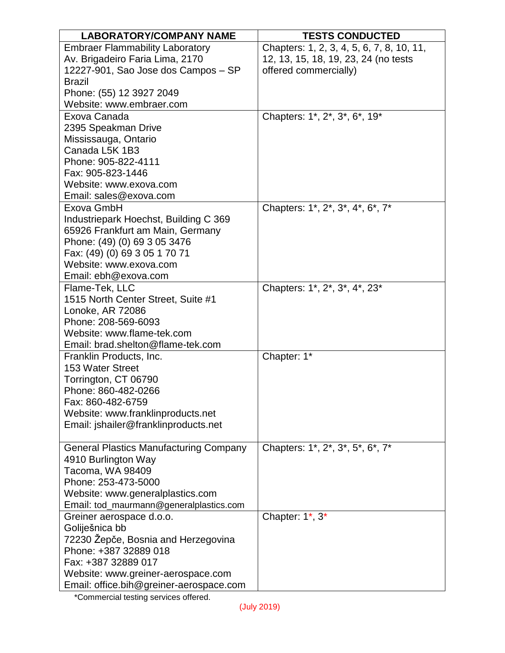| <b>LABORATORY/COMPANY NAME</b>                | <b>TESTS CONDUCTED</b>                    |
|-----------------------------------------------|-------------------------------------------|
| <b>Embraer Flammability Laboratory</b>        | Chapters: 1, 2, 3, 4, 5, 6, 7, 8, 10, 11, |
| Av. Brigadeiro Faria Lima, 2170               | 12, 13, 15, 18, 19, 23, 24 (no tests      |
| 12227-901, Sao Jose dos Campos - SP           | offered commercially)                     |
| <b>Brazil</b>                                 |                                           |
| Phone: (55) 12 3927 2049                      |                                           |
| Website: www.embraer.com                      |                                           |
| Exova Canada                                  | Chapters: 1*, 2*, 3*, 6*, 19*             |
| 2395 Speakman Drive                           |                                           |
| Mississauga, Ontario                          |                                           |
| Canada L5K 1B3                                |                                           |
| Phone: 905-822-4111                           |                                           |
| Fax: 905-823-1446                             |                                           |
| Website: www.exova.com                        |                                           |
| Email: sales@exova.com                        |                                           |
| Exova GmbH                                    | Chapters: 1*, 2*, 3*, 4*, 6*, 7*          |
| Industriepark Hoechst, Building C 369         |                                           |
| 65926 Frankfurt am Main, Germany              |                                           |
| Phone: (49) (0) 69 3 05 3476                  |                                           |
| Fax: (49) (0) 69 3 05 1 70 71                 |                                           |
| Website: www.exova.com                        |                                           |
| Email: ebh@exova.com                          |                                           |
| Flame-Tek, LLC                                | Chapters: 1*, 2*, 3*, 4*, 23*             |
| 1515 North Center Street, Suite #1            |                                           |
| Lonoke, AR 72086                              |                                           |
| Phone: 208-569-6093                           |                                           |
| Website: www.flame-tek.com                    |                                           |
| Email: brad.shelton@flame-tek.com             |                                           |
| Franklin Products, Inc.<br>153 Water Street   | Chapter: 1*                               |
| Torrington, CT 06790                          |                                           |
| Phone: 860-482-0266                           |                                           |
| Fax: 860-482-6759                             |                                           |
| Website: www.franklinproducts.net             |                                           |
| Email: jshailer@franklinproducts.net          |                                           |
|                                               |                                           |
| <b>General Plastics Manufacturing Company</b> | Chapters: 1*, 2*, 3*, 5*, 6*, 7*          |
| 4910 Burlington Way                           |                                           |
| Tacoma, WA 98409                              |                                           |
| Phone: 253-473-5000                           |                                           |
| Website: www.generalplastics.com              |                                           |
| Email: tod_maurmann@generalplastics.com       |                                           |
| Greiner aerospace d.o.o.                      | Chapter: 1*, 3*                           |
| Goliješnica bb                                |                                           |
| 72230 Žepče, Bosnia and Herzegovina           |                                           |
| Phone: +387 32889 018                         |                                           |
| Fax: +387 32889 017                           |                                           |
| Website: www.greiner-aerospace.com            |                                           |
| Email: office.bih@greiner-aerospace.com       |                                           |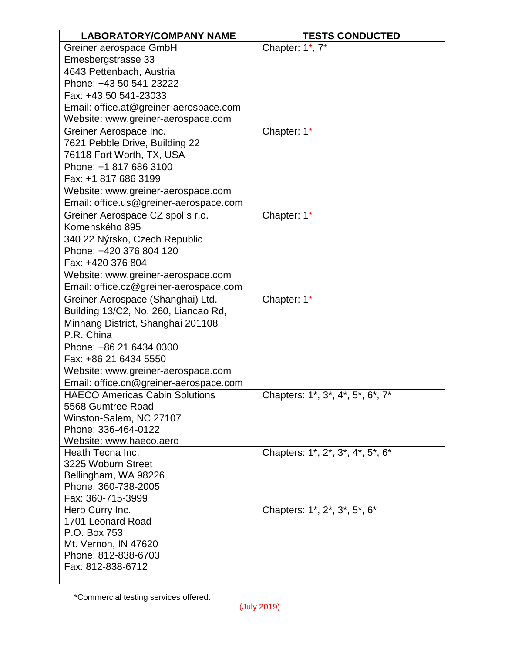| <b>LABORATORY/COMPANY NAME</b>              | <b>TESTS CONDUCTED</b>           |
|---------------------------------------------|----------------------------------|
| Greiner aerospace GmbH                      | Chapter: 1*, 7*                  |
| Emesbergstrasse 33                          |                                  |
| 4643 Pettenbach, Austria                    |                                  |
| Phone: +43 50 541-23222                     |                                  |
| Fax: +43 50 541-23033                       |                                  |
| Email: office.at@greiner-aerospace.com      |                                  |
| Website: www.greiner-aerospace.com          |                                  |
| Greiner Aerospace Inc.                      | Chapter: 1*                      |
| 7621 Pebble Drive, Building 22              |                                  |
| 76118 Fort Worth, TX, USA                   |                                  |
| Phone: +1 817 686 3100                      |                                  |
| Fax: +1 817 686 3199                        |                                  |
| Website: www.greiner-aerospace.com          |                                  |
| Email: office.us@greiner-aerospace.com      |                                  |
| Greiner Aerospace CZ spol s r.o.            | Chapter: 1*                      |
| Komenského 895                              |                                  |
| 340 22 Nýrsko, Czech Republic               |                                  |
| Phone: +420 376 804 120                     |                                  |
| Fax: +420 376 804                           |                                  |
| Website: www.greiner-aerospace.com          |                                  |
| Email: office.cz@greiner-aerospace.com      |                                  |
| Greiner Aerospace (Shanghai) Ltd.           | Chapter: 1*                      |
| Building 13/C2, No. 260, Liancao Rd,        |                                  |
| Minhang District, Shanghai 201108           |                                  |
| P.R. China                                  |                                  |
| Phone: +86 21 6434 0300                     |                                  |
| Fax: +86 21 6434 5550                       |                                  |
| Website: www.greiner-aerospace.com          |                                  |
| Email: office.cn@greiner-aerospace.com      |                                  |
| <b>HAECO Americas Cabin Solutions</b>       | Chapters: 1*, 3*, 4*, 5*, 6*, 7* |
| 5568 Gumtree Road                           |                                  |
| Winston-Salem, NC 27107                     |                                  |
| Phone: 336-464-0122                         |                                  |
| Website: www.haeco.aero                     |                                  |
| Heath Tecna Inc.                            | Chapters: 1*, 2*, 3*, 4*, 5*, 6* |
| 3225 Woburn Street                          |                                  |
| Bellingham, WA 98226<br>Phone: 360-738-2005 |                                  |
| Fax: 360-715-3999                           |                                  |
| Herb Curry Inc.                             | Chapters: 1*, 2*, 3*, 5*, 6*     |
| 1701 Leonard Road                           |                                  |
| P.O. Box 753                                |                                  |
| Mt. Vernon, IN 47620                        |                                  |
| Phone: 812-838-6703                         |                                  |
| Fax: 812-838-6712                           |                                  |
|                                             |                                  |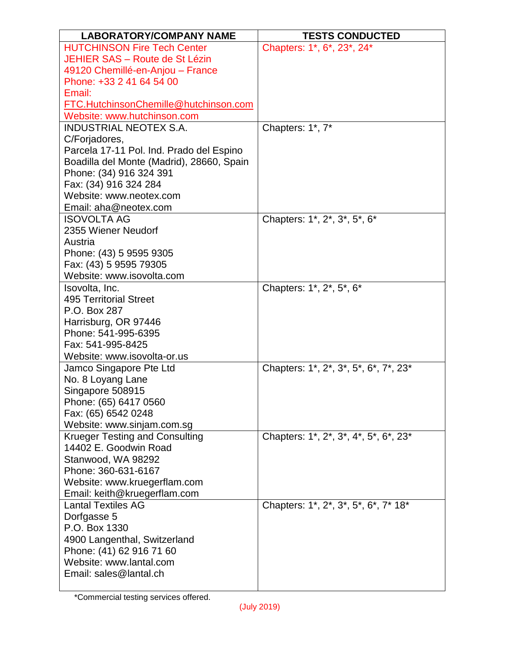| <b>LABORATORY/COMPANY NAME</b>                      | <b>TESTS CONDUCTED</b>                |
|-----------------------------------------------------|---------------------------------------|
| <b>HUTCHINSON Fire Tech Center</b>                  | Chapters: 1*, 6*, 23*, 24*            |
| JEHIER SAS - Route de St Lézin                      |                                       |
| 49120 Chemillé-en-Anjou - France                    |                                       |
| Phone: +33 2 41 64 54 00                            |                                       |
| Email:                                              |                                       |
| <b>FTC.HutchinsonChemille@hutchinson.com</b>        |                                       |
| Website: www.hutchinson.com                         |                                       |
| <b>INDUSTRIAL NEOTEX S.A.</b>                       | Chapters: 1*, 7*                      |
| C/Forjadores,                                       |                                       |
| Parcela 17-11 Pol. Ind. Prado del Espino            |                                       |
| Boadilla del Monte (Madrid), 28660, Spain           |                                       |
| Phone: (34) 916 324 391                             |                                       |
| Fax: (34) 916 324 284<br>Website: www.neotex.com    |                                       |
|                                                     |                                       |
| Email: aha@neotex.com                               |                                       |
| <b>ISOVOLTA AG</b><br>2355 Wiener Neudorf           | Chapters: 1*, 2*, 3*, 5*, 6*          |
| Austria                                             |                                       |
| Phone: (43) 5 9595 9305                             |                                       |
| Fax: (43) 5 9595 79305                              |                                       |
| Website: www.isovolta.com                           |                                       |
| Isovolta, Inc.                                      | Chapters: 1*, 2*, 5*, 6*              |
| <b>495 Territorial Street</b>                       |                                       |
| P.O. Box 287                                        |                                       |
| Harrisburg, OR 97446                                |                                       |
| Phone: 541-995-6395                                 |                                       |
| Fax: 541-995-8425                                   |                                       |
| Website: www.isovolta-or.us                         |                                       |
| Jamco Singapore Pte Ltd                             | Chapters: 1*, 2*, 3*, 5*, 6*, 7*, 23* |
| No. 8 Loyang Lane                                   |                                       |
| Singapore 508915                                    |                                       |
| Phone: (65) 6417 0560                               |                                       |
| Fax: (65) 6542 0248                                 |                                       |
| Website: www.sinjam.com.sg                          |                                       |
| <b>Krueger Testing and Consulting</b>               | Chapters: 1*, 2*, 3*, 4*, 5*, 6*, 23* |
| 14402 E. Goodwin Road                               |                                       |
| Stanwood, WA 98292                                  |                                       |
| Phone: 360-631-6167                                 |                                       |
| Website: www.kruegerflam.com                        |                                       |
| Email: keith@kruegerflam.com                        |                                       |
| <b>Lantal Textiles AG</b>                           | Chapters: 1*, 2*, 3*, 5*, 6*, 7* 18*  |
| Dorfgasse 5                                         |                                       |
| P.O. Box 1330                                       |                                       |
| 4900 Langenthal, Switzerland                        |                                       |
| Phone: (41) 62 916 71 60<br>Website: www.lantal.com |                                       |
| Email: sales@lantal.ch                              |                                       |
|                                                     |                                       |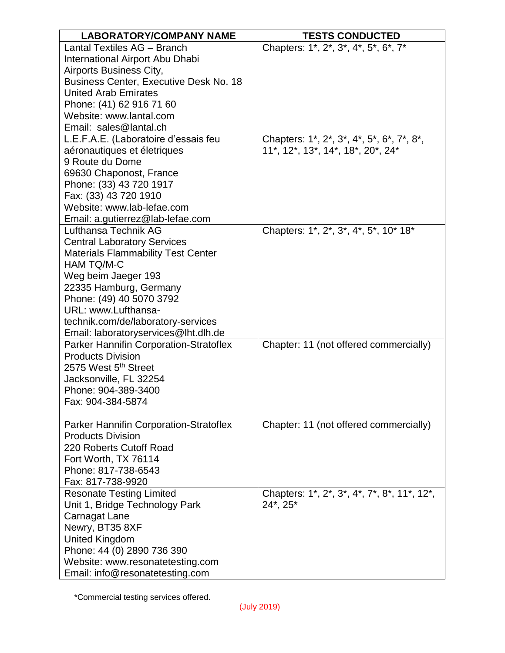| <b>LABORATORY/COMPANY NAME</b>                | <b>TESTS CONDUCTED</b>                      |
|-----------------------------------------------|---------------------------------------------|
| Lantal Textiles AG - Branch                   | Chapters: 1*, 2*, 3*, 4*, 5*, 6*, 7*        |
| International Airport Abu Dhabi               |                                             |
| Airports Business City,                       |                                             |
| <b>Business Center, Executive Desk No. 18</b> |                                             |
| <b>United Arab Emirates</b>                   |                                             |
| Phone: (41) 62 916 71 60                      |                                             |
| Website: www.lantal.com                       |                                             |
| Email: sales@lantal.ch                        |                                             |
| L.E.F.A.E. (Laboratoire d'essais feu          | Chapters: 1*, 2*, 3*, 4*, 5*, 6*, 7*, 8*,   |
| aéronautiques et életriques                   | 11*, 12*, 13*, 14*, 18*, 20*, 24*           |
| 9 Route du Dome                               |                                             |
| 69630 Chaponost, France                       |                                             |
| Phone: (33) 43 720 1917                       |                                             |
| Fax: (33) 43 720 1910                         |                                             |
| Website: www.lab-lefae.com                    |                                             |
| Email: a.gutierrez@lab-lefae.com              |                                             |
| Lufthansa Technik AG                          | Chapters: 1*, 2*, 3*, 4*, 5*, 10* 18*       |
| <b>Central Laboratory Services</b>            |                                             |
| <b>Materials Flammability Test Center</b>     |                                             |
| HAM TQ/M-C                                    |                                             |
| Weg beim Jaeger 193                           |                                             |
| 22335 Hamburg, Germany                        |                                             |
| Phone: (49) 40 5070 3792                      |                                             |
| URL: www.Lufthansa-                           |                                             |
| technik.com/de/laboratory-services            |                                             |
| Email: laboratoryservices@lht.dlh.de          |                                             |
| Parker Hannifin Corporation-Stratoflex        | Chapter: 11 (not offered commercially)      |
| <b>Products Division</b>                      |                                             |
| 2575 West 5 <sup>th</sup> Street              |                                             |
| Jacksonville, FL 32254                        |                                             |
| Phone: 904-389-3400                           |                                             |
| Fax: 904-384-5874                             |                                             |
|                                               |                                             |
| Parker Hannifin Corporation-Stratoflex        | Chapter: 11 (not offered commercially)      |
| <b>Products Division</b>                      |                                             |
| 220 Roberts Cutoff Road                       |                                             |
| Fort Worth, TX 76114                          |                                             |
| Phone: 817-738-6543                           |                                             |
| Fax: 817-738-9920                             |                                             |
| <b>Resonate Testing Limited</b>               | Chapters: 1*, 2*, 3*, 4*, 7*, 8*, 11*, 12*, |
| Unit 1, Bridge Technology Park                | 24*, 25*                                    |
| Carnagat Lane                                 |                                             |
| Newry, BT35 8XF                               |                                             |
| <b>United Kingdom</b>                         |                                             |
| Phone: 44 (0) 2890 736 390                    |                                             |
| Website: www.resonatetesting.com              |                                             |
| Email: info@resonatetesting.com               |                                             |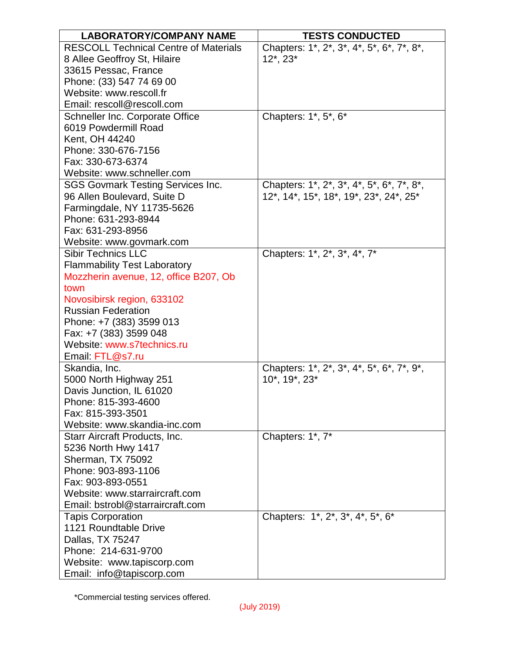| <b>LABORATORY/COMPANY NAME</b>               | <b>TESTS CONDUCTED</b>                    |
|----------------------------------------------|-------------------------------------------|
| <b>RESCOLL Technical Centre of Materials</b> | Chapters: 1*, 2*, 3*, 4*, 5*, 6*, 7*, 8*, |
| 8 Allee Geoffroy St, Hilaire                 | $12^*$ , $23^*$                           |
| 33615 Pessac, France                         |                                           |
| Phone: (33) 547 74 69 00                     |                                           |
| Website: www.rescoll.fr                      |                                           |
| Email: rescoll@rescoll.com                   |                                           |
| Schneller Inc. Corporate Office              | Chapters: 1*, 5*, 6*                      |
| 6019 Powdermill Road                         |                                           |
| Kent, OH 44240                               |                                           |
| Phone: 330-676-7156                          |                                           |
| Fax: 330-673-6374                            |                                           |
| Website: www.schneller.com                   |                                           |
| <b>SGS Govmark Testing Services Inc.</b>     | Chapters: 1*, 2*, 3*, 4*, 5*, 6*, 7*, 8*, |
| 96 Allen Boulevard, Suite D                  | 12*, 14*, 15*, 18*, 19*, 23*, 24*, 25*    |
| Farmingdale, NY 11735-5626                   |                                           |
| Phone: 631-293-8944                          |                                           |
| Fax: 631-293-8956                            |                                           |
| Website: www.govmark.com                     |                                           |
| <b>Sibir Technics LLC</b>                    | Chapters: 1*, 2*, 3*, 4*, 7*              |
| <b>Flammability Test Laboratory</b>          |                                           |
| Mozzherin avenue, 12, office B207, Ob        |                                           |
| town                                         |                                           |
| Novosibirsk region, 633102                   |                                           |
| <b>Russian Federation</b>                    |                                           |
| Phone: +7 (383) 3599 013                     |                                           |
| Fax: +7 (383) 3599 048                       |                                           |
| Website: www.s7technics.ru                   |                                           |
| Email: FTL@s7.ru                             |                                           |
| Skandia, Inc.                                | Chapters: 1*, 2*, 3*, 4*, 5*, 6*, 7*, 9*, |
| 5000 North Highway 251                       | 10*, 19*, 23*                             |
| Davis Junction, IL 61020                     |                                           |
| Phone: 815-393-4600                          |                                           |
| Fax: 815-393-3501                            |                                           |
| Website: www.skandia-inc.com                 |                                           |
| Starr Aircraft Products, Inc.                | Chapters: 1*, 7*                          |
| 5236 North Hwy 1417                          |                                           |
| Sherman, TX 75092                            |                                           |
| Phone: 903-893-1106                          |                                           |
| Fax: 903-893-0551                            |                                           |
| Website: www.starraircraft.com               |                                           |
| Email: bstrobl@starraircraft.com             |                                           |
| <b>Tapis Corporation</b>                     | Chapters: 1*, 2*, 3*, 4*, 5*, 6*          |
| 1121 Roundtable Drive                        |                                           |
| Dallas, TX 75247                             |                                           |
| Phone: 214-631-9700                          |                                           |
| Website: www.tapiscorp.com                   |                                           |
| Email: info@tapiscorp.com                    |                                           |
|                                              |                                           |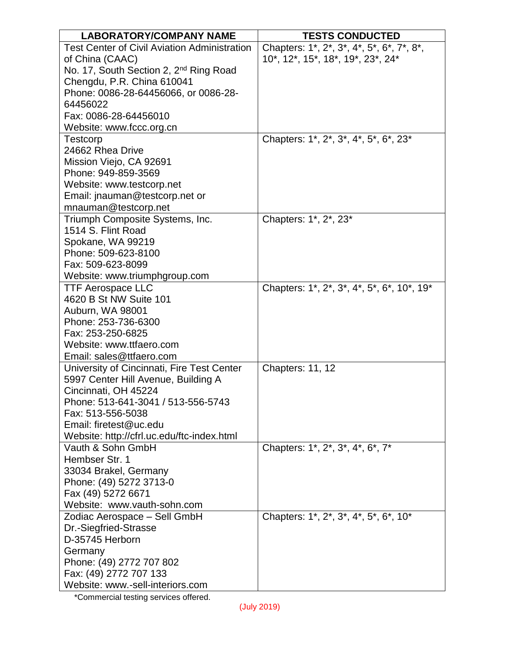| <b>LABORATORY/COMPANY NAME</b>                      | <b>TESTS CONDUCTED</b>                     |
|-----------------------------------------------------|--------------------------------------------|
| <b>Test Center of Civil Aviation Administration</b> | Chapters: 1*, 2*, 3*, 4*, 5*, 6*, 7*, 8*,  |
| of China (CAAC)                                     | 10*, 12*, 15*, 18*, 19*, 23*, 24*          |
| No. 17, South Section 2, 2 <sup>nd</sup> Ring Road  |                                            |
| Chengdu, P.R. China 610041                          |                                            |
| Phone: 0086-28-64456066, or 0086-28-                |                                            |
| 64456022                                            |                                            |
| Fax: 0086-28-64456010                               |                                            |
| Website: www.fccc.org.cn                            |                                            |
| <b>Testcorp</b>                                     | Chapters: 1*, 2*, 3*, 4*, 5*, 6*, 23*      |
| 24662 Rhea Drive                                    |                                            |
| Mission Viejo, CA 92691                             |                                            |
| Phone: 949-859-3569                                 |                                            |
| Website: www.testcorp.net                           |                                            |
| Email: jnauman@testcorp.net or                      |                                            |
| mnauman@testcorp.net                                |                                            |
| Triumph Composite Systems, Inc.                     | Chapters: 1*, 2*, 23*                      |
| 1514 S. Flint Road                                  |                                            |
| Spokane, WA 99219                                   |                                            |
| Phone: 509-623-8100                                 |                                            |
| Fax: 509-623-8099                                   |                                            |
| Website: www.triumphgroup.com                       |                                            |
| <b>TTF Aerospace LLC</b>                            | Chapters: 1*, 2*, 3*, 4*, 5*, 6*, 10*, 19* |
| 4620 B St NW Suite 101                              |                                            |
| Auburn, WA 98001                                    |                                            |
| Phone: 253-736-6300                                 |                                            |
| Fax: 253-250-6825                                   |                                            |
| Website: www.ttfaero.com                            |                                            |
| Email: sales@ttfaero.com                            |                                            |
| University of Cincinnati, Fire Test Center          | <b>Chapters: 11, 12</b>                    |
| 5997 Center Hill Avenue, Building A                 |                                            |
| Cincinnati, OH 45224                                |                                            |
| Phone: 513-641-3041 / 513-556-5743                  |                                            |
| Fax: 513-556-5038                                   |                                            |
| Email: firetest@uc.edu                              |                                            |
| Website: http://cfrl.uc.edu/ftc-index.html          |                                            |
| Vauth & Sohn GmbH                                   | Chapters: 1*, 2*, 3*, 4*, 6*, 7*           |
| Hembser Str. 1                                      |                                            |
| 33034 Brakel, Germany                               |                                            |
| Phone: (49) 5272 3713-0                             |                                            |
| Fax (49) 5272 6671                                  |                                            |
| Website: www.vauth-sohn.com                         |                                            |
| Zodiac Aerospace - Sell GmbH                        | Chapters: 1*, 2*, 3*, 4*, 5*, 6*, 10*      |
| Dr.-Siegfried-Strasse                               |                                            |
| D-35745 Herborn                                     |                                            |
| Germany                                             |                                            |
| Phone: (49) 2772 707 802                            |                                            |
| Fax: (49) 2772 707 133                              |                                            |
| Website: www.-sell-interiors.com                    |                                            |